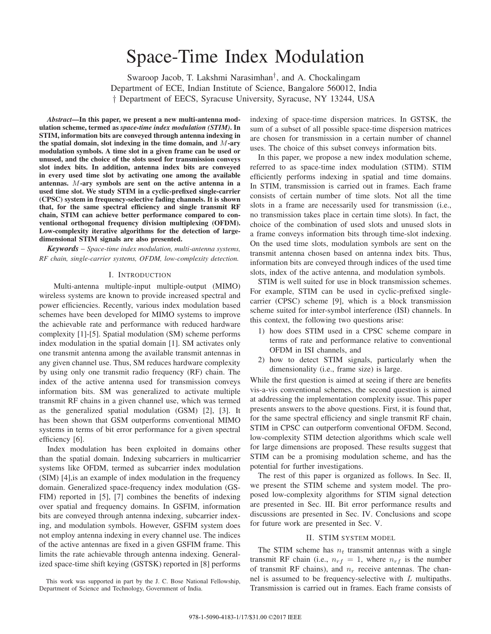# Space-Time Index Modulation

Swaroop Jacob, T. Lakshmi Narasimhan†, and A. Chockalingam Department of ECE, Indian Institute of Science, Bangalore 560012, India † Department of EECS, Syracuse University, Syracuse, NY 13244, USA

*Abstract***—In this paper, we present a new multi-antenna modulation scheme, termed as** *space-time index modulation (STIM)***. In STIM, information bits are conveyed through antenna indexing in** the spatial domain, slot indexing in the time domain, and  $M$ -ary **modulation symbols. A time slot in a given frame can be used or unused, and the choice of the slots used for transmission conveys slot index bits. In addition, antenna index bits are conveyed in every used time slot by activating one among the available** antennas. M-ary symbols are sent on the active antenna in a **used time slot. We study STIM in a cyclic-prefixed single-carrier (CPSC) system in frequency-selective fading channels. It is shown that, for the same spectral efficiency and single transmit RF chain, STIM can achieve better performance compared to conventional orthogonal frequency division multiplexing (OFDM). Low-complexity iterative algorithms for the detection of largedimensional STIM signals are also presented.**

*Keywords* – *Space-time index modulation, multi-antenna systems, RF chain, single-carrier systems, OFDM, low-complexity detection.*

#### I. INTRODUCTION

Multi-antenna multiple-input multiple-output (MIMO) wireless systems are known to provide increased spectral and power efficiencies. Recently, various index modulation based schemes have been developed for MIMO systems to improve the achievable rate and performance with reduced hardware complexity [1]-[5]. Spatial modulation (SM) scheme performs index modulation in the spatial domain [1]. SM activates only one transmit antenna among the available transmit antennas in any given channel use. Thus, SM reduces hardware complexity by using only one transmit radio frequency (RF) chain. The index of the active antenna used for transmission conveys information bits. SM was generalized to activate multiple transmit RF chains in a given channel use, which was termed as the generalized spatial modulation (GSM) [2], [3]. It has been shown that GSM outperforms conventional MIMO systems in terms of bit error performance for a given spectral efficiency [6].

Index modulation has been exploited in domains other than the spatial domain. Indexing subcarriers in multicarrier systems like OFDM, termed as subcarrier index modulation (SIM) [4],is an example of index modulation in the frequency domain. Generalized space-frequency index modulation (GS-FIM) reported in [5], [7] combines the benefits of indexing over spatial and frequency domains. In GSFIM, information bits are conveyed through antenna indexing, subcarrier indexing, and modulation symbols. However, GSFIM system does not employ antenna indexing in every channel use. The indices of the active antennas are fixed in a given GSFIM frame. This limits the rate achievable through antenna indexing. Generalized space-time shift keying (GSTSK) reported in [8] performs

This work was supported in part by the J. C. Bose National Fellowship, Department of Science and Technology, Government of India.

indexing of space-time dispersion matrices. In GSTSK, the sum of a subset of all possible space-time dispersion matrices are chosen for transmission in a certain number of channel uses. The choice of this subset conveys information bits.

In this paper, we propose a new index modulation scheme, referred to as space-time index modulation (STIM). STIM efficiently performs indexing in spatial and time domains. In STIM, transmission is carried out in frames. Each frame consists of certain number of time slots. Not all the time slots in a frame are necessarily used for transmission (i.e., no transmission takes place in certain time slots). In fact, the choice of the combination of used slots and unused slots in a frame conveys information bits through time-slot indexing. On the used time slots, modulation symbols are sent on the transmit antenna chosen based on antenna index bits. Thus, information bits are conveyed through indices of the used time slots, index of the active antenna, and modulation symbols.

STIM is well suited for use in block transmission schemes. For example, STIM can be used in cyclic-prefixed singlecarrier (CPSC) scheme [9], which is a block transmission scheme suited for inter-symbol interference (ISI) channels. In this context, the following two questions arise:

- 1) how does STIM used in a CPSC scheme compare in terms of rate and performance relative to conventional OFDM in ISI channels, and
- 2) how to detect STIM signals, particularly when the dimensionality (i.e., frame size) is large.

While the first question is aimed at seeing if there are benefits vis-a-vis conventional schemes, the second question is aimed at addressing the implementation complexity issue. This paper presents answers to the above questions. First, it is found that, for the same spectral efficiency and single transmit RF chain, STIM in CPSC can outperform conventional OFDM. Second, low-complexity STIM detection algorithms which scale well for large dimensions are proposed. These results suggest that STIM can be a promising modulation scheme, and has the potential for further investigations.

The rest of this paper is organized as follows. In Sec. II, we present the STIM scheme and system model. The proposed low-complexity algorithms for STIM signal detection are presented in Sec. III. Bit error performance results and discussions are presented in Sec. IV. Conclusions and scope for future work are presented in Sec. V.

#### II. STIM SYSTEM MODEL

The STIM scheme has  $n_t$  transmit antennas with a single transmit RF chain (i.e.,  $n_{rf} = 1$ , where  $n_{rf}$  is the number of transmit RF chains), and  $n_r$  receive antennas. The channel is assumed to be frequency-selective with  $L$  multipaths. Transmission is carried out in frames. Each frame consists of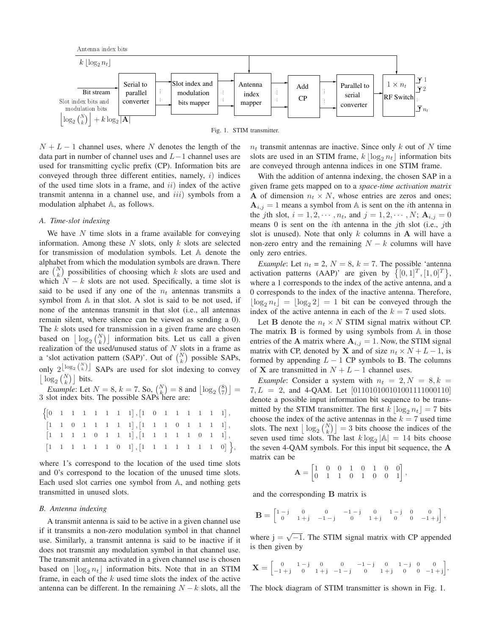Fig. 1. STIM transmitter.

 $N + L - 1$  channel uses, where N denotes the length of the data part in number of channel uses and  $L-1$  channel uses are used for transmitting cyclic prefix (CP). Information bits are conveyed through three different entities, namely,  $i$ ) indices of the used time slots in a frame, and  $ii$ ) index of the active transmit antenna in a channel use, and  $iii$ ) symbols from a modulation alphabet  $A$ , as follows.

the contract of the contract of the contract of the contract of the contract of the contract of the contract o  $\left| \log_2 {N \choose k} \right| + k \log_2 |\overline{A}|$ 

#### *A. Time-slot indexing*

We have  $N$  time slots in a frame available for conveying information. Among these  $N$  slots, only  $k$  slots are selected for transmission of modulation symbols. Let A denote the alphabet from which the modulation symbols are drawn. There are  $\binom{N}{k}$  possibilities of choosing which k slots are used and which  $N - k$  slots are not used. Specifically, a time slot is said to be used if any one of the  $n_t$  antennas transmits a symbol from  $A$  in that slot. A slot is said to be not used, if none of the antennas transmit in that slot (i.e., all antennas remain silent, where silence can be viewed as sending a 0). The  $k$  slots used for transmission in a given frame are chosen based on  $\lfloor \log_2 {N \choose k} \rfloor$  information bits. Let us call a given realization of the used/unused status of  $N$  slots in a frame as a 'slot activation pattern (SAP)'. Out of  $\binom{N}{k}$  possible SAPs, only  $2^{\lfloor \log_2 {N \choose k} \rfloor}$  SAPs are used for slot indexing to convey  $\lfloor \log_2 {N \choose k} \rfloor$  bits.

*Example*: Let  $N = 8$ ,  $k = 7$ . So,  $\binom{N}{k} = 8$  and  $\lfloor \log_2 \binom{8}{7} \rfloor =$ 3 slot index bits. The possible SAPs here are:

|  |  |  | $\left\{ \begin{bmatrix} 0 & 1 & 1 & 1 & 1 & 1 & 1 & 1 & 1 \end{bmatrix}, \begin{bmatrix} 1 & 0 & 1 & 1 & 1 & 1 & 1 & 1 & 1 \end{bmatrix}, \right.$ |  |  |  |  |
|--|--|--|-----------------------------------------------------------------------------------------------------------------------------------------------------|--|--|--|--|
|  |  |  | $\begin{bmatrix} 1 & 1 & 0 & 1 & 1 & 1 & 1 & 1 \end{bmatrix}, \begin{bmatrix} 1 & 1 & 1 & 0 & 1 & 1 & 1 & 1 \end{bmatrix},$                         |  |  |  |  |
|  |  |  | $\begin{bmatrix} 1 & 1 & 1 & 1 & 0 & 1 & 1 & 1 \end{bmatrix}, \begin{bmatrix} 1 & 1 & 1 & 1 & 1 & 0 & 1 & 1 \end{bmatrix},$                         |  |  |  |  |
|  |  |  | $[1 \ 1 \ 1 \ 1 \ 1 \ 1 \ 0 \ 1], [1 \ 1 \ 1 \ 1 \ 1 \ 1 \ 0] \},$                                                                                  |  |  |  |  |

where 1's correspond to the location of the used time slots and 0's correspond to the location of the unused time slots. Each used slot carries one symbol from  $A$ , and nothing gets transmitted in unused slots.

#### *B. Antenna indexing*

A transmit antenna is said to be active in a given channel use if it transmits a non-zero modulation symbol in that channel use. Similarly, a transmit antenna is said to be inactive if it does not transmit any modulation symbol in that channel use. The transmit antenna activated in a given channel use is chosen based on  $\log_2 n_t$  information bits. Note that in an STIM frame, in each of the  $k$  used time slots the index of the active antenna can be different. In the remaining  $N - k$  slots, all the  $n_t$  transmit antennas are inactive. Since only k out of N time slots are used in an STIM frame,  $k \lfloor \log_2 n_t \rfloor$  information bits are conveyed through antenna indices in one STIM frame.

 $\overline{\mathbf{y}}_{n_t}$ 

 $\overline{Y}1$  $72$ 

With the addition of antenna indexing, the chosen SAP in a given frame gets mapped on to a *space-time activation matrix* **A** of dimension  $n_t \times N$ , whose entries are zeros and ones;  $A_{i,j} = 1$  means a symbol from A is sent on the *i*th antenna in the *j*th slot,  $i = 1, 2, \dots, n_t$ , and  $j = 1, 2, \dots, N$ ;  $A_{i,j} = 0$ means  $0$  is sent on the *i*th antenna in the *j*th slot (i.e., *j*th slot is unused). Note that only  $k$  columns in  $A$  will have a non-zero entry and the remaining  $N - k$  columns will have only zero entries.

*Example*: Let  $n_t = 2$ ,  $N = 8$ ,  $k = 7$ . The possible 'antenna' activation patterns (AAP)' are given by  $\{[0,1]^T,[1,0]^T\}$ , where a 1 corresponds to the index of the active antenna, and a 0 corresponds to the index of the inactive antenna. Therefore,  $|\log_2 n_t| = |\log_2 2| = 1$  bit can be conveyed through the index of the active antenna in each of the  $k = 7$  used slots.

Let **B** denote the  $n_t \times N$  STIM signal matrix without CP. The matrix  $\bf{B}$  is formed by using symbols from  $\bf{A}$  in those entries of the **A** matrix where  $A_{i,j} = 1$ . Now, the STIM signal matrix with CP, denoted by **X** and of size  $n_t \times N + L - 1$ , is formed by appending  $L - 1$  CP symbols to **B**. The columns of **X** are transmitted in  $N + L - 1$  channel uses.

*Example*: Consider a system with  $n_t = 2, N = 8, k = 1$  $7, L = 2$ , and 4-QAM. Let [011010100101001111000110] denote a possible input information bit sequence to be transmitted by the STIM transmitter. The first  $k \lfloor \log_2 n_t \rfloor = 7$  bits choose the index of the active antennas in the  $k = 7$  used time slots. The next  $\lfloor \log_2 {N \choose k} \rfloor = 3$  bits choose the indices of the seven used time slots. The last  $k \log_2 |\mathbb{A}| = 14$  bits choose the seven 4-QAM symbols. For this input bit sequence, the **A** matrix can be

$$
\mathbf{A} = \begin{bmatrix} 1 & 0 & 0 & 1 & 0 & 1 & 0 & 0 \\ 0 & 1 & 1 & 0 & 1 & 0 & 0 & 1 \end{bmatrix},
$$

and the corresponding **B** matrix is

$$
\mathbf{B} = \begin{bmatrix} 1-j & 0 & 0 & -1-j & 0 & 1-j & 0 & 0 \\ 0 & 1+j & -1-j & 0 & 1+j & 0 & 0 & -1+j \end{bmatrix},
$$

where  $j = \sqrt{-1}$ . The STIM signal matrix with CP appended is then given by

$$
\mathbf{X} = \begin{bmatrix} 0 & 1-j & 0 & 0 & -1-j & 0 & 0 & 0\\ -1+j & 0 & 1+j & -1-j & 0 & 1+j & 0 & 0 & -1+j \end{bmatrix}.
$$

The block diagram of STIM transmitter is shown in Fig. 1.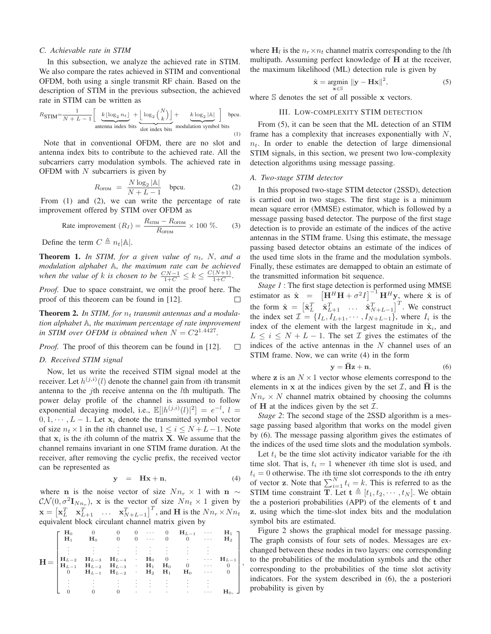#### *C. Achievable rate in STIM*

In this subsection, we analyze the achieved rate in STIM. We also compare the rates achieved in STIM and conventional OFDM, both using a single transmit RF chain. Based on the description of STIM in the previous subsection, the achieved rate in STIM can be written as

$$
R_{\text{STIM}} = \frac{1}{N + L - 1} \left[ \underbrace{k \lfloor \log_2 n_t \rfloor}_{\text{antenna index bits}} + \underbrace{\lfloor \log_2 {N \choose k} \rfloor}_{\text{slot index bits}} + \underbrace{k \log_2 |\mathbb{A}|}_{\text{modulation symbol bits}} \right] \text{ bpcu.}
$$

Note that in conventional OFDM, there are no slot and antenna index bits to contribute to the achieved rate. All the subcarriers carry modulation symbols. The achieved rate in OFDM with  $N$  subcarriers is given by

$$
R_{\text{OFDM}} = \frac{N \log_2 |\mathbb{A}|}{N + L - 1} \quad \text{bpcu.} \tag{2}
$$

From (1) and (2), we can write the percentage of rate improvement offered by STIM over OFDM as

Rate improvement 
$$
(R_I) = \frac{R_{\text{STIM}} - R_{\text{OFDM}}}{R_{\text{OFDM}}} \times 100 \%
$$
. (3)

Define the term  $C \triangleq n_t |\mathbb{A}|$ .

**Theorem 1.** In STIM, for a given value of  $n_t$ , N, and a *modulation alphabet* A, the maximum rate can be achieved *when the value of k* is chosen to be  $\frac{CN-1}{1+C} \leq k \leq \frac{C(N+1)}{1+C}$ .

*Proof.* Due to space constraint, we omit the proof here. The proof of this theorem can be found in [12]. П

**Theorem 2.** *In STIM, for transmit antennas and a modulation alphabet* A, the maximum percentage of rate improvement *in STIM over OFDM is obtained when*  $N = C2^{1.4427}$ .

*Proof.* The proof of this theorem can be found in [12].  $\Box$ 

## *D. Received STIM signal*

Now, let us write the received STIM signal model at the receiver. Let  $h^{(j,i)}(l)$  denote the channel gain from *i*th transmit antenna to the *i*th receive antenna on the *l*th multipath. The power delay profile of the channel is assumed to follow exponential decaying model, i.e.,  $\mathbb{E}[|h^{(j,i)}(l)|^2] = e^{-l}$ ,  $l =$  $0, 1, \dots, L-1$ . Let  $\mathbf{x}_i$  denote the transmitted symbol vector of size  $n_t \times 1$  in the *i*th channel use,  $1 \le i \le N+L-1$ . Note that  $x_i$  is the *i*th column of the matrix **X**. We assume that the channel remains invariant in one STIM frame duration. At the receiver, after removing the cyclic prefix, the received vector can be represented as

$$
y = Hx + n,\t(4)
$$

,

where **n** is the noise vector of size  $Nn_r \times 1$  with **n** ∼  $\mathcal{CN}(0, \sigma^2 \mathbf{I}_{Nn_r})$ , x is the vector of size  $Nn_t \times 1$  given by  $\mathbf{x} = \begin{bmatrix} \mathbf{x}_L^T & \mathbf{x}_{L+1}^T & \dots & \mathbf{x}_{N+L-1}^T \end{bmatrix}^T$ , and **H** is the  $Nn_r \times Nn_t$ equivalent block circulant channel matrix given by

|                                                                                                                                                                                                                                                                                                   |       |                                           |                                |         |         |                                                   | 0 0 $\cdots$ 0 $H_{L-1}$ $\cdots$                                                                                                                                                                                                           |                                            | $H_1$ $\Box$     |  |
|---------------------------------------------------------------------------------------------------------------------------------------------------------------------------------------------------------------------------------------------------------------------------------------------------|-------|-------------------------------------------|--------------------------------|---------|---------|---------------------------------------------------|---------------------------------------------------------------------------------------------------------------------------------------------------------------------------------------------------------------------------------------------|--------------------------------------------|------------------|--|
| $\mathbf{H} = \begin{bmatrix} \mathbf{H}_{L-2} & \mathbf{H}_{L-3} & \mathbf{H}_{L-4} & \cdot & \mathbf{H}_0 & 0 & \cdot & \cdot & \cdot & \mathbf{H}_{L-1} \\ \mathbf{H}_{L-1} & \mathbf{H}_{L-2} & \mathbf{H}_{L-3} & \cdot & \mathbf{H}_1 & \mathbf{H}_0 & 0 & \cdot & \cdot & 0 \end{bmatrix}$ | $H_1$ | $\mathbf{H}_0$                            |                                |         |         |                                                   | $0 \qquad 0 \qquad \cdots \qquad 0 \qquad 0 \qquad \cdots \qquad {\bf H}_2$                                                                                                                                                                 |                                            |                  |  |
|                                                                                                                                                                                                                                                                                                   |       |                                           |                                | $\sim$  |         | $\sim$<br>$\sim$ 100 $\sim$ 100 $\sim$ 100 $\sim$ | $\sim$                                                                                                                                                                                                                                      |                                            |                  |  |
|                                                                                                                                                                                                                                                                                                   |       |                                           |                                |         |         |                                                   |                                                                                                                                                                                                                                             |                                            |                  |  |
|                                                                                                                                                                                                                                                                                                   |       |                                           |                                |         |         |                                                   |                                                                                                                                                                                                                                             |                                            |                  |  |
|                                                                                                                                                                                                                                                                                                   |       |                                           |                                |         |         |                                                   |                                                                                                                                                                                                                                             |                                            |                  |  |
|                                                                                                                                                                                                                                                                                                   |       | 0 $H_{L-1}$ $H_{L-2}$ $\cdot$ $H_2$ $H_1$ |                                |         |         |                                                   | $H_0$                                                                                                                                                                                                                                       | $\mathbf{r}$ , $\mathbf{r}$ , $\mathbf{r}$ |                  |  |
|                                                                                                                                                                                                                                                                                                   |       |                                           |                                |         |         | $\sim$                                            |                                                                                                                                                                                                                                             |                                            |                  |  |
|                                                                                                                                                                                                                                                                                                   |       | $\bullet$                                 | $\sim$<br>$\ddot{\phantom{0}}$ | $\cdot$ | $\cdot$ | $\sim$                                            |                                                                                                                                                                                                                                             | $\blacksquare$                             |                  |  |
|                                                                                                                                                                                                                                                                                                   |       |                                           |                                |         |         |                                                   | $0 \longrightarrow$ . The contract of the contract of the contract of the contract of the contract of the contract of the contract of the contract of the contract of the contract of the contract of the contract of the contract of the c |                                            | $\mathbf{H}_0$ , |  |

where  $H_l$  is the  $n_r \times n_t$  channel matrix corresponding to the *l*th multipath. Assuming perfect knowledge of **H** at the receiver, the maximum likelihood (ML) detection rule is given by

$$
\hat{\mathbf{x}} = \underset{\mathbf{x} \in \mathbb{S}}{\operatorname{argmin}} \|\mathbf{y} - \mathbf{H}\mathbf{x}\|^2,\tag{5}
$$

where  $S$  denotes the set of all possible  $x$  vectors.

## III. LOW-COMPLEXITY STIM DETECTION

From (5), it can be seen that the ML detection of an STIM frame has a complexity that increases exponentially with  $N$ ,  $n_t$ . In order to enable the detection of large dimensional STIM signals, in this section, we present two low-complexity detection algorithms using message passing.

## *A. Two-stage STIM detector*

In this proposed two-stage STIM detector (2SSD), detection is carried out in two stages. The first stage is a minimum mean square error (MMSE) estimator, which is followed by a message passing based detector. The purpose of the first stage detection is to provide an estimate of the indices of the active antennas in the STIM frame. Using this estimate, the message passing based detector obtains an estimate of the indices of the used time slots in the frame and the modulation symbols. Finally, these estimates are demapped to obtain an estimate of the transmitted information bit sequence.

*Stage 1* : The first stage detection is performed using MMSE estimator as  $\hat{\mathbf{x}} = [\mathbf{H}^H \mathbf{H} + \sigma^2 I]^{-1} \mathbf{H}^H \mathbf{y}$ , where  $\hat{\mathbf{x}}$  is of the form  $\hat{\mathbf{x}} = \begin{bmatrix} \hat{\mathbf{x}}_L^T & \hat{\mathbf{x}}_{L+1}^T & \dots & \hat{\mathbf{x}}_{N+L-1}^T \end{bmatrix}^T$ . We construct the index set  $\mathcal{I} = \{I_L, I_{L+1}, \cdots, I_{N+L-1}\}$ , where  $I_i$  is the index of the element with the largest magnitude in  $\hat{\mathbf{x}}_i$ , and  $L \leq i \leq N + L - 1$ . The set  $\mathcal I$  gives the estimates of the indices of the active antennas in the  $N$  channel uses of an STIM frame. Now, we can write (4) in the form

$$
y = \bar{H}z + n,\tag{6}
$$

where **z** is an  $N \times 1$  vector whose elements correspond to the elements in **x** at the indices given by the set  $\mathcal{I}$ , and  $\overline{H}$  is the  $Nn_r \times N$  channel matrix obtained by choosing the columns of **H** at the indices given by the set  $\mathcal{I}$ .

*Stage 2*: The second stage of the 2SSD algorithm is a message passing based algorithm that works on the model given by (6). The message passing algorithm gives the estimates of the indices of the used time slots and the modulation symbols.

Let  $t_i$  be the time slot activity indicator variable for the *i*th time slot. That is,  $t_i = 1$  whenever *i*th time slot is used, and  $t_i = 0$  otherwise. The *i*th time slot corresponds to the *i*th entry of vector **z**. Note that  $\sum_{i=1}^{N} t_i = k$ . This is referred to as the STIM time constraint **T**. Let  $\mathbf{t} \triangleq [t_1, t_2, \cdots, t_N]$ . We obtain the a posteriori probabilities (APP) of the elements of **t** and **z**, using which the time-slot index bits and the modulation symbol bits are estimated.

Figure 2 shows the graphical model for message passing. The graph consists of four sets of nodes. Messages are exchanged between these nodes in two layers: one corresponding to the probabilities of the modulation symbols and the other corresponding to the probabilities of the time slot activity indicators. For the system described in (6), the a posteriori probability is given by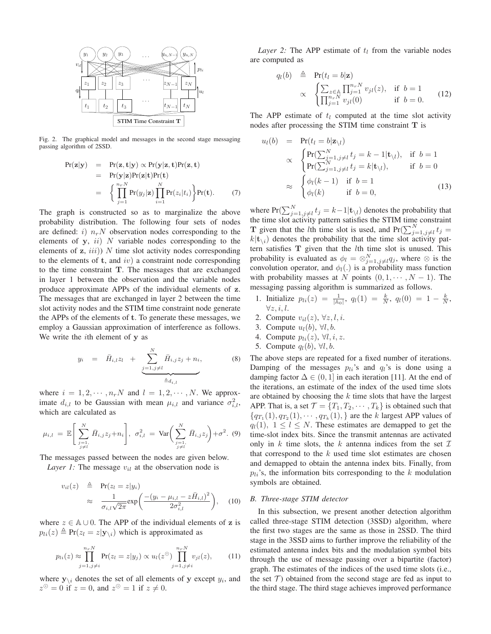

Fig. 2. The graphical model and messages in the second stage messaging passing algorithm of 2SSD.

$$
Pr(\mathbf{z}|\mathbf{y}) = Pr(\mathbf{z}, \mathbf{t}|\mathbf{y}) \propto Pr(\mathbf{y}|\mathbf{z}, \mathbf{t}) Pr(\mathbf{z}, \mathbf{t})
$$
  
\n
$$
= Pr(\mathbf{y}|\mathbf{z}) Pr(\mathbf{z}|\mathbf{t}) Pr(\mathbf{t})
$$
  
\n
$$
= \left\{ \prod_{j=1}^{n_r N} Pr(y_j|\mathbf{z}) \prod_{i=1}^{N} Pr(z_i|t_i) \right\} Pr(\mathbf{t}). \tag{7}
$$

The graph is constructed so as to marginalize the above probability distribution. The following four sets of nodes are defined: i)  $n_r N$  observation nodes corresponding to the elements of  $y$ ,  $ii$ )  $N$  variable nodes corresponding to the elements of  $z$ ,  $iii)$ )  $N$  time slot activity nodes corresponding to the elements of  $t$ , and  $iv$ ) a constraint node corresponding to the time constraint **T**. The messages that are exchanged in layer 1 between the observation and the variable nodes produce approximate APPs of the individual elements of **z**. The messages that are exchanged in layer 2 between the time slot activity nodes and the STIM time constraint node generate the APPs of the elements of **t**. To generate these messages, we employ a Gaussian approximation of interference as follows. We write the  $i$ th element of  $y$  as

$$
y_i = \bar{H}_{i,l} z_l + \underbrace{\sum_{j=1,j\neq l}^{N} \bar{H}_{i,j} z_j + n_i}_{\triangleq d_{i,l}},
$$
 (8)

where  $i = 1, 2, \dots, n_r N$  and  $l = 1, 2, \dots, N$ . We approximate  $d_{i,l}$  to be Gaussian with mean  $\mu_{i,l}$  and variance  $\sigma_{i,l}^2$ , which are calculated as

$$
\mu_{i,l} = \mathbb{E}\bigg[\sum_{\substack{j=1,\\j\neq l}}^N \bar{H}_{i,j} z_j + n_i\bigg], \sigma_{i,l}^2 = \text{Var}\bigg(\sum_{\substack{j=1,\\j\neq l}}^N \bar{H}_{i,j} z_j\bigg) + \sigma^2. (9)
$$

The messages passed between the nodes are given below.

*Layer 1:* The message  $v_{il}$  at the observation node is

$$
v_{il}(z) \triangleq \Pr(z_l = z|y_i)
$$
  
\n
$$
\approx \frac{1}{\sigma_{i,l}\sqrt{2\pi}} \exp\left(\frac{-(y_i - \mu_{i,l} - z\bar{H}_{i,l})^2}{2\sigma_{i,l}^2}\right), \quad (10)
$$

where  $z \in \mathbb{A} \cup 0$ . The APP of the individual elements of **z** is  $p_{li}(z) \triangleq Pr(z_l = z | \mathbf{y}_{\setminus i})$  which is approximated as

$$
p_{li}(z) \approx \prod_{j=1, j\neq i}^{n_r N} \Pr(z_l = z | y_j) \propto u_l(z^{\odot}) \prod_{j=1, j\neq i}^{n_r N} v_{jl}(z), \qquad (11)
$$

where  $\mathbf{y}_{\setminus i}$  denotes the set of all elements of **y** except  $y_i$ , and  $z^{\odot} = 0$  if  $z = 0$ , and  $z^{\odot} = 1$  if  $z \neq 0$ .

*Layer 2:* The APP estimate of  $t<sub>l</sub>$  from the variable nodes are computed as

$$
q_l(b) \triangleq \Pr(t_l = b | \mathbf{z})
$$
  
 
$$
\propto \begin{cases} \sum_{z \in \mathbb{A}} \prod_{j=1}^{n_r N} v_{jl}(z), & \text{if } b = 1 \\ \prod_{j=1}^{n_r N} v_{jl}(0) & \text{if } b = 0. \end{cases}
$$
 (12)

The APP estimate of  $t_l$  computed at the time slot activity nodes after processing the STIM time constraint **T** is

$$
u_l(b) = \Pr(t_l = b | \mathbf{z}_{\setminus l})
$$
  
\n
$$
\propto \begin{cases} \Pr(\sum_{j=1, j \neq l}^{N} t_j = k - 1 | \mathbf{t}_{\setminus l}), & \text{if } b = 1 \\ \Pr(\sum_{j=1, j \neq l}^{N} t_j = k | \mathbf{t}_{\setminus l}), & \text{if } b = 0 \end{cases}
$$
  
\n
$$
\approx \begin{cases} \phi_l(k-1) & \text{if } b = 1 \\ \phi_l(k) & \text{if } b = 0, \end{cases}
$$
 (13)

where  $Pr(\sum_{j=1,j\neq l}^{N} t_j = k-1 | \mathbf{t}_{\setminus l})$  denotes the probability that the time slot activity pattern satisfies the STIM time constraint **T** given that the *l*th time slot is used, and  $Pr(\sum_{j=1,j\neq l}^{N} t_j =$  $k|\mathbf{t}_{\setminus i}|$  denotes the probability that the time slot activity pattern satisfies **T** given that the *l*th time slot is unused. This probability is evaluated as  $\phi_l = \otimes_{j=1,j\neq l}^N q_j$ , where  $\otimes$  is the convolution operator, and  $\phi_l(.)$  is a probability mass function with probability masses at N points  $(0, 1, \dots, N - 1)$ . The messaging passing algorithm is summarized as follows.

- 1. Initialize  $p_{li}(z) = \frac{1}{|\mathbb{A}_0|}, q_l(1) = \frac{k}{N}, q_l(0) = 1 \frac{k}{N},$  $\forall z, i, l.$
- 2. Compute  $v_{il}(z)$ ,  $\forall z, l, i$ .
- 3. Compute  $u_l(b)$ ,  $\forall l, b$ .
- 4. Compute  $p_{li}(z)$ ,  $\forall l, i, z$ .
- 5. Compute  $q_l(b)$ ,  $\forall l, b$ .

The above steps are repeated for a fixed number of iterations. Damping of the messages  $p_{li}$ 's and  $q_l$ 's is done using a damping factor  $\Delta \in (0, 1]$  in each iteration [11]. At the end of the iterations, an estimate of the index of the used time slots are obtained by choosing the  $k$  time slots that have the largest APP. That is, a set  $\mathcal{T} = \{T_1, T_2, \cdots, T_k\}$  is obtained such that  ${q_{T_1}(1), q_{T_2}(1), \cdots, q_{T_k}(1), }$  are the k largest APP values of  $q_l(1)$ ,  $1 \leq l \leq N$ . These estimates are demapped to get the time-slot index bits. Since the transmit antennas are activated only in  $k$  time slots, the  $k$  antenna indices from the set  $\mathcal I$ that correspond to the  $k$  used time slot estimates are chosen and demapped to obtain the antenna index bits. Finally, from  $p_{li}$ 's, the information bits corresponding to the k modulation symbols are obtained.

## *B. Three-stage STIM detector*

In this subsection, we present another detection algorithm called three-stage STIM detection (3SSD) algorithm, where the first two stages are the same as those in 2SSD. The third stage in the 3SSD aims to further improve the reliability of the estimated antenna index bits and the modulation symbol bits through the use of message passing over a bipartite (factor) graph. The estimates of the indices of the used time slots (i.e., the set  $\mathcal T$ ) obtained from the second stage are fed as input to the third stage. The third stage achieves improved performance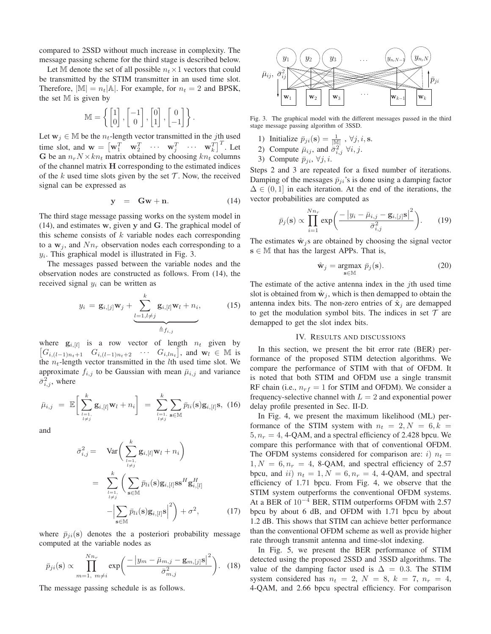compared to 2SSD without much increase in complexity. The message passing scheme for the third stage is described below.

Let M denote the set of all possible  $n_t \times 1$  vectors that could be transmitted by the STIM transmitter in an used time slot. Therefore,  $|\mathbb{M}| = n_t |\mathbb{A}|$ . For example, for  $n_t = 2$  and BPSK, the set  $M$  is given by

$$
\mathbb{M} = \left\{ \begin{bmatrix} 1 \\ 0 \end{bmatrix}, \begin{bmatrix} -1 \\ 0 \end{bmatrix}, \begin{bmatrix} 0 \\ 1 \end{bmatrix}, \begin{bmatrix} 0 \\ -1 \end{bmatrix} \right\}.
$$

Let  $w_j \in M$  be the  $n_t$ -length vector transmitted in the j<sup>th</sup> used time slot, and  $\mathbf{w} = \begin{bmatrix} \mathbf{w}_1^T & \mathbf{w}_2^T & \cdots & \mathbf{w}_j^T \end{bmatrix}^T$ . Let G be an  $n_r N \times k n_t$  matrix obtained by choosing  $k n_t$  columns of the channel matrix **H** corresponding to the estimated indices of the  $k$  used time slots given by the set  $T$ . Now, the received signal can be expressed as

$$
y = Gw + n. \tag{14}
$$

The third stage message passing works on the system model in (14), and estimates **w**, given **y** and **G**. The graphical model of this scheme consists of  $k$  variable nodes each corresponding to a  $w_i$ , and  $Nn_r$  observation nodes each corresponding to a  $y_i$ . This graphical model is illustrated in Fig. 3.

The messages passed between the variable nodes and the observation nodes are constructed as follows. From (14), the received signal  $y_i$  can be written as

$$
y_i = \mathbf{g}_{i,[j]}\mathbf{w}_j + \underbrace{\sum_{l=1,l\neq j}^k \mathbf{g}_{i,[l]}\mathbf{w}_l + n_i}_{\triangleq f_{i,j}},
$$
(15)

where  $\mathbf{g}_{i,[l]}$  is a row vector of length  $n_t$  given by  $[G_{i,(l-1)n_t+1} \quad G_{i,(l-1)n_t+2} \quad \cdots \quad G_{i,ln_t}],$  and  $\mathbf{w}_l \in \mathbb{M}$  is the  $n_t$ -length vector transmitted in the *l*th used time slot. We approximate  $f_{i,j}$  to be Gaussian with mean  $\bar{\mu}_{i,j}$  and variance  $\bar{\sigma}_{i,j}^2$ , where

$$
\bar{\mu}_{i,j} = \mathbb{E}\bigg[\sum_{\substack{l=1,\\l \neq j}}^k \mathbf{g}_{i,[l]} \mathbf{w}_l + n_i \bigg] = \sum_{\substack{l=1,\\l \neq j}}^k \sum_{\mathbf{s} \in \mathbb{M}} \bar{p}_{li}(\mathbf{s}) \mathbf{g}_{i,[l]} \mathbf{s}, (16)
$$

and

$$
\bar{\sigma}_{i,j}^{2} = \operatorname{Var}\left(\sum_{l=1, \atop l \neq j}^{k} \mathbf{g}_{i,[l]} \mathbf{w}_{l} + n_{i}\right)
$$
\n
$$
= \sum_{l=1, \atop l \neq j}^{k} \left(\sum_{\mathbf{s} \in \mathbb{M}} \bar{p}_{li}(\mathbf{s}) \mathbf{g}_{i,[l]} \mathbf{s}^{H} \mathbf{g}_{i,[l]}^{H} - \left|\sum_{\mathbf{s} \in \mathbb{M}} \bar{p}_{li}(\mathbf{s}) \mathbf{g}_{i,[l]} \mathbf{s}\right|^{2}\right) + \sigma^{2}, \qquad (17)
$$

where  $\bar{p}_{ii}(\mathbf{s})$  denotes the a posteriori probability message computed at the variable nodes as

$$
\bar{p}_{ji}(\mathbf{s}) \propto \prod_{m=1, m \neq i}^{Nn_r} \exp\left(\frac{-\left|y_m - \bar{\mu}_{m,j} - \mathbf{g}_{m,j}j\right|^2}{\bar{\sigma}_{m,j}^2}\right). \quad (18)
$$

The message passing schedule is as follows.



Fig. 3. The graphical model with the different messages passed in the third stage message passing algorithm of 3SSD.

- 1) Initialize  $\bar{p}_{ji}(\mathbf{s}) = \frac{1}{|\mathbb{M}|}, \forall j, i, \mathbf{s}.$
- 2) Compute  $\bar{\mu}_{ij}$ , and  $\bar{\sigma}_{i,j}^2 \forall i, j$ .
- 3) Compute  $\bar{p}$ .

Steps 2 and 3 are repeated for a fixed number of iterations. Damping of the messages  $\bar{p}_{ji}$ 's is done using a damping factor  $\Delta \in (0, 1]$  in each iteration. At the end of the iterations, the vector probabilities are computed as

$$
\bar{p}_j(\mathbf{s}) \propto \prod_{i=1}^{Nn_r} \exp\bigg(\frac{-\big|y_i - \bar{\mu}_{i,j} - \mathbf{g}_{i,[j]}\mathbf{s}\big|^2}{\bar{\sigma}_{i,j}^2}\bigg). \qquad (19)
$$

The estimates  $\hat{\mathbf{w}}_j$ s are obtained by choosing the signal vector  $s \in M$  that has the largest APPs. That is,

$$
\hat{\mathbf{w}}_j = \underset{\mathbf{s} \in \mathbb{M}}{\operatorname{argmax}} \ \bar{p}_j(\mathbf{s}). \tag{20}
$$

The estimate of the active antenna index in the  $j$ th used time slot is obtained from  $\hat{\mathbf{w}}_j$ , which is then demapped to obtain the antenna index bits. The non-zero entries of  $\hat{\mathbf{x}}_j$  are demapped to get the modulation symbol bits. The indices in set  $T$  are demapped to get the slot index bits.

## IV. RESULTS AND DISCUSSIONS

In this section, we present the bit error rate (BER) performance of the proposed STIM detection algorithms. We compare the performance of STIM with that of OFDM. It is noted that both STIM and OFDM use a single transmit RF chain (i.e.,  $n_{rf} = 1$  for STIM and OFDM). We consider a frequency-selective channel with  $L = 2$  and exponential power delay profile presented in Sec. II-D.

In Fig. 4, we present the maximum likelihood (ML) performance of the STIM system with  $n_t = 2, N = 6, k =$  $5, n_r = 4, 4$ -QAM, and a spectral efficiency of 2.428 bpcu. We compare this performance with that of conventional OFDM. The OFDM systems considered for comparison are: i)  $n_t =$  $1, N = 6, n_r = 4$ , 8-QAM, and spectral efficiency of 2.57 bpcu, and ii)  $n_t = 1, N = 6, n_r = 4$ , 4-QAM, and spectral efficiency of 1.71 bpcu. From Fig. 4, we observe that the STIM system outperforms the conventional OFDM systems. At a BER of 10<sup>-4</sup> BER, STIM outperforms OFDM with 2.57 bpcu by about 6 dB, and OFDM with 1.71 bpcu by about 1.2 dB. This shows that STIM can achieve better performance than the conventional OFDM scheme as well as provide higher rate through transmit antenna and time-slot indexing.

In Fig. 5, we present the BER performance of STIM detected using the proposed 2SSD and 3SSD algorithms. The value of the damping factor used is  $\Delta = 0.3$ . The STIM system considered has  $n_t = 2$ ,  $N = 8$ ,  $k = 7$ ,  $n_r = 4$ , 4-QAM, and 2.66 bpcu spectral efficiency. For comparison